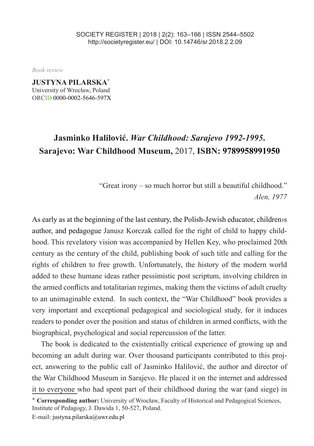*Book review*

**JUSTYNA PILARSKA\*** University of Wrocław, Poland ORCID 0000-0002-5646-597X

## **Jasminko Halilović.** *War Childhood: Sarajevo 1992-1995***. Sarajevo: War Childhood Museum,** 2017, **ISBN: 9789958991950**

"Great irony – so much horror but still a beautiful childhood." *Alen, 1977*

As early as at the beginning of the last century, the Polish-Jewish educator, children's author, and pedagogue Janusz Korczak called for the right of child to happy childhood. This revelatory vision was accompanied by Hellen Key, who proclaimed 20th century as the century of the child, publishing book of such title and calling for the rights of children to free growth. Unfortunately, the history of the modern world added to these humane ideas rather pessimistic post scriptum, involving children in the armed conflicts and totalitarian regimes, making them the victims of adult cruelty to an unimaginable extend. In such context, the "War Childhood" book provides a very important and exceptional pedagogical and sociological study, for it induces readers to ponder over the position and status of children in armed conflicts, with the biographical, psychological and social repercussion of the latter.

The book is dedicated to the existentially critical experience of growing up and becoming an adult during war. Over thousand participants contributed to this project, answering to the public call of Jasminko Halilović, the author and director of the War Childhood Museum in Sarajevo. He placed it on the internet and addressed it to everyone who had spent part of their childhood during the war (and siege) in

\* **Corresponding author:** University of Wrocław, Faculty of Historical and Pedagogical Sciences, Institute of Pedagogy, J. Dawida 1, 50-527, Poland.

E-mail: justyna.pilarska@uwr.edu.pl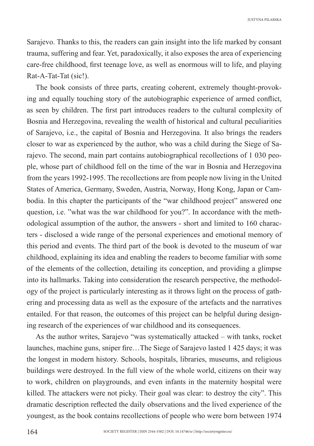Sarajevo. Thanks to this, the readers can gain insight into the life marked by consant trauma, suffering and fear. Yet, paradoxically, it also exposes the area of experiencing care-free childhood, first teenage love, as well as enormous will to life, and playing Rat-A-Tat-Tat (sic!).

The book consists of three parts, creating coherent, extremely thought-provoking and equally touching story of the autobiographic experience of armed conflict, as seen by children. The first part introduces readers to the cultural complexity of Bosnia and Herzegovina, revealing the wealth of historical and cultural peculiarities of Sarajevo, i.e., the capital of Bosnia and Herzegovina. It also brings the readers closer to war as experienced by the author, who was a child during the Siege of Sarajevo. The second, main part contains autobiographical recollections of 1 030 people, whose part of childhood fell on the time of the war in Bosnia and Herzegovina from the years 1992-1995. The recollections are from people now living in the United States of America, Germany, Sweden, Austria, Norway, Hong Kong, Japan or Cambodia. In this chapter the participants of the "war childhood project" answered one question, i.e. "what was the war childhood for you?". In accordance with the methodological assumption of the author, the answers - short and limited to 160 characters - disclosed a wide range of the personal experiences and emotional memory of this period and events. The third part of the book is devoted to the museum of war childhood, explaining its idea and enabling the readers to become familiar with some of the elements of the collection, detailing its conception, and providing a glimpse into its hallmarks. Taking into consideration the research perspective, the methodology of the project is particularly interesting as it throws light on the process of gathering and processing data as well as the exposure of the artefacts and the narratives entailed. For that reason, the outcomes of this project can be helpful during designing research of the experiences of war childhood and its consequences.

As the author writes, Sarajevo "was systematically attacked – with tanks, rocket launches, machine guns, sniper fire…The Siege of Sarajevo lasted 1 425 days; it was the longest in modern history. Schools, hospitals, libraries, museums, and religious buildings were destroyed. In the full view of the whole world, citizens on their way to work, children on playgrounds, and even infants in the maternity hospital were killed. The attackers were not picky. Their goal was clear: to destroy the city". This dramatic description reflected the daily observations and the lived experience of the youngest, as the book contains recollections of people who were born between 1974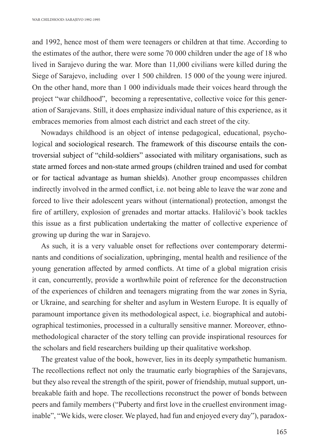and 1992, hence most of them were teenagers or children at that time. According to the estimates of the author, there were some 70 000 children under the age of 18 who lived in Sarajevo during the war. More than 11,000 civilians were killed during the Siege of Sarajevo, including over 1 500 children. 15 000 of the young were injured. On the other hand, more than 1 000 individuals made their voices heard through the project "war childhood", becoming a representative, collective voice for this generation of Sarajevans. Still, it does emphasize individual nature of this experience, as it embraces memories from almost each district and each street of the city.

Nowadays childhood is an object of intense pedagogical, educational, psychological and sociological research. The framework of this discourse entails the controversial subject of "child-soldiers" associated with military organisations, such as state armed forces and non-state armed groups (children trained and used for combat or for tactical advantage as human shields). Another group encompasses children indirectly involved in the armed conflict, i.e. not being able to leave the war zone and forced to live their adolescent years without (international) protection, amongst the fire of artillery, explosion of grenades and mortar attacks. Halilović's book tackles this issue as a first publication undertaking the matter of collective experience of growing up during the war in Sarajevo.

As such, it is a very valuable onset for reflections over contemporary determinants and conditions of socialization, upbringing, mental health and resilience of the young generation affected by armed conflicts. At time of a global migration crisis it can, concurrently, provide a worthwhile point of reference for the deconstruction of the experiences of children and teenagers migrating from the war zones in Syria, or Ukraine, and searching for shelter and asylum in Western Europe. It is equally of paramount importance given its methodological aspect, i.e. biographical and autobiographical testimonies, processed in a culturally sensitive manner. Moreover, ethnomethodological character of the story telling can provide inspirational resources for the scholars and field researchers building up their qualitative workshop.

The greatest value of the book, however, lies in its deeply sympathetic humanism. The recollections reflect not only the traumatic early biographies of the Sarajevans, but they also reveal the strength of the spirit, power of friendship, mutual support, unbreakable faith and hope. The recollections reconstruct the power of bonds between peers and family members ("Puberty and first love in the cruellest environment imaginable", "We kids, were closer. We played, had fun and enjoyed every day"), paradox-